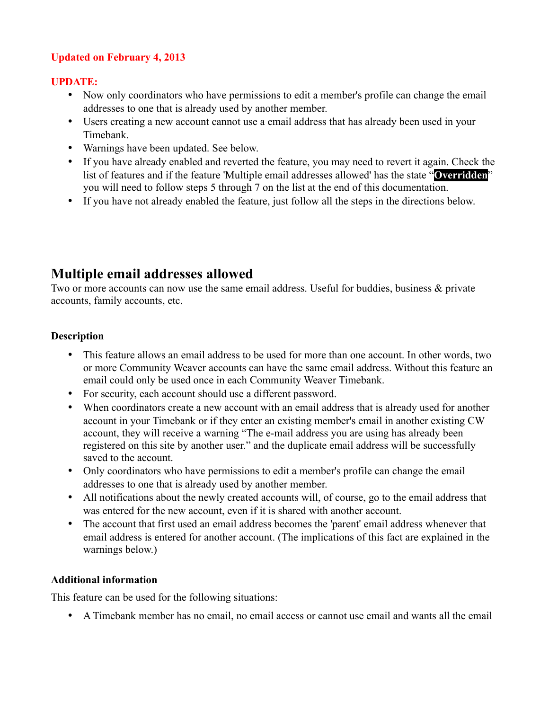## **Updated on February 4, 2013**

## **UPDATE:**

- Now only coordinators who have permissions to edit a member's profile can change the email addresses to one that is already used by another member.
- Users creating a new account cannot use a email address that has already been used in your Timebank.
- Warnings have been updated. See below.
- If you have already enabled and reverted the feature, you may need to revert it again. Check the list of features and if the feature 'Multiple email addresses allowed' has the state "**Overridden**" you will need to follow steps 5 through 7 on the list at the end of this documentation.
- If you have not already enabled the feature, just follow all the steps in the directions below.

# **Multiple email addresses allowed**

Two or more accounts can now use the same email address. Useful for buddies, business & private accounts, family accounts, etc.

## **Description**

- This feature allows an email address to be used for more than one account. In other words, two or more Community Weaver accounts can have the same email address. Without this feature an email could only be used once in each Community Weaver Timebank.
- For security, each account should use a different password.
- When coordinators create a new account with an email address that is already used for another account in your Timebank or if they enter an existing member's email in another existing CW account, they will receive a warning "The e-mail address you are using has already been registered on this site by another user." and the duplicate email address will be successfully saved to the account.
- Only coordinators who have permissions to edit a member's profile can change the email addresses to one that is already used by another member.
- All notifications about the newly created accounts will, of course, go to the email address that was entered for the new account, even if it is shared with another account.
- The account that first used an email address becomes the 'parent' email address whenever that email address is entered for another account. (The implications of this fact are explained in the warnings below.)

### **Additional information**

This feature can be used for the following situations:

• A Timebank member has no email, no email access or cannot use email and wants all the email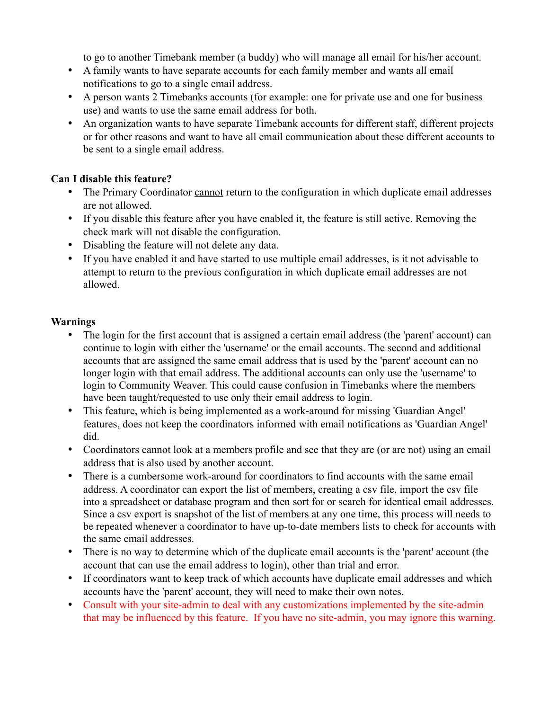to go to another Timebank member (a buddy) who will manage all email for his/her account.

- A family wants to have separate accounts for each family member and wants all email notifications to go to a single email address.
- A person wants 2 Timebanks accounts (for example: one for private use and one for business use) and wants to use the same email address for both.
- An organization wants to have separate Timebank accounts for different staff, different projects or for other reasons and want to have all email communication about these different accounts to be sent to a single email address.

## **Can I disable this feature?**

- The Primary Coordinator cannot return to the configuration in which duplicate email addresses are not allowed.
- If you disable this feature after you have enabled it, the feature is still active. Removing the check mark will not disable the configuration.
- Disabling the feature will not delete any data.
- If you have enabled it and have started to use multiple email addresses, is it not advisable to attempt to return to the previous configuration in which duplicate email addresses are not allowed.

## **Warnings**

- The login for the first account that is assigned a certain email address (the 'parent' account) can continue to login with either the 'username' or the email accounts. The second and additional accounts that are assigned the same email address that is used by the 'parent' account can no longer login with that email address. The additional accounts can only use the 'username' to login to Community Weaver. This could cause confusion in Timebanks where the members have been taught/requested to use only their email address to login.
- This feature, which is being implemented as a work-around for missing 'Guardian Angel' features, does not keep the coordinators informed with email notifications as 'Guardian Angel' did.
- Coordinators cannot look at a members profile and see that they are (or are not) using an email address that is also used by another account.
- There is a cumbersome work-around for coordinators to find accounts with the same email address. A coordinator can export the list of members, creating a csv file, import the csv file into a spreadsheet or database program and then sort for or search for identical email addresses. Since a csv export is snapshot of the list of members at any one time, this process will needs to be repeated whenever a coordinator to have up-to-date members lists to check for accounts with the same email addresses.
- There is no way to determine which of the duplicate email accounts is the 'parent' account (the account that can use the email address to login), other than trial and error.
- If coordinators want to keep track of which accounts have duplicate email addresses and which accounts have the 'parent' account, they will need to make their own notes.
- Consult with your site-admin to deal with any customizations implemented by the site-admin that may be influenced by this feature. If you have no site-admin, you may ignore this warning.